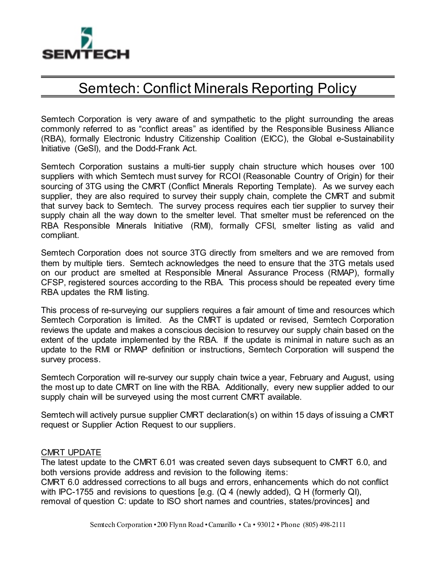

## Semtech: Conflict Minerals Reporting Policy

Semtech Corporation is very aware of and sympathetic to the plight surrounding the areas commonly referred to as "conflict areas" as identified by the Responsible Business Alliance (RBA), formally Electronic Industry Citizenship Coalition (EICC), the Global e-Sustainability Initiative (GeSI), and the Dodd-Frank Act.

Semtech Corporation sustains a multi-tier supply chain structure which houses over 100 suppliers with which Semtech must survey for RCOI (Reasonable Country of Origin) for their sourcing of 3TG using the CMRT (Conflict Minerals Reporting Template). As we survey each supplier, they are also required to survey their supply chain, complete the CMRT and submit that survey back to Semtech. The survey process requires each tier supplier to survey their supply chain all the way down to the smelter level. That smelter must be referenced on the RBA Responsible Minerals Initiative (RMI), formally CFSI, smelter listing as valid and compliant.

Semtech Corporation does not source 3TG directly from smelters and we are removed from them by multiple tiers. Semtech acknowledges the need to ensure that the 3TG metals used on our product are smelted at Responsible Mineral Assurance Process (RMAP), formally CFSP, registered sources according to the RBA. This process should be repeated every time RBA updates the RMI listing.

This process of re-surveying our suppliers requires a fair amount of time and resources which Semtech Corporation is limited. As the CMRT is updated or revised, Semtech Corporation reviews the update and makes a conscious decision to resurvey our supply chain based on the extent of the update implemented by the RBA. If the update is minimal in nature such as an update to the RMI or RMAP definition or instructions, Semtech Corporation will suspend the survey process.

Semtech Corporation will re-survey our supply chain twice a year, February and August, using the most up to date CMRT on line with the RBA. Additionally, every new supplier added to our supply chain will be surveyed using the most current CMRT available.

Semtech will actively pursue supplier CMRT declaration(s) on within 15 days of issuing a CMRT request or Supplier Action Request to our suppliers.

## CMRT UPDATE

The latest update to the CMRT 6.01 was created seven days subsequent to CMRT 6.0, and both versions provide address and revision to the following items:

CMRT 6.0 addressed corrections to all bugs and errors, enhancements which do not conflict with IPC-1755 and revisions to questions [e.g. (Q 4 (newly added), Q H (formerly QI), removal of question C: update to ISO short names and countries, states/provinces] and